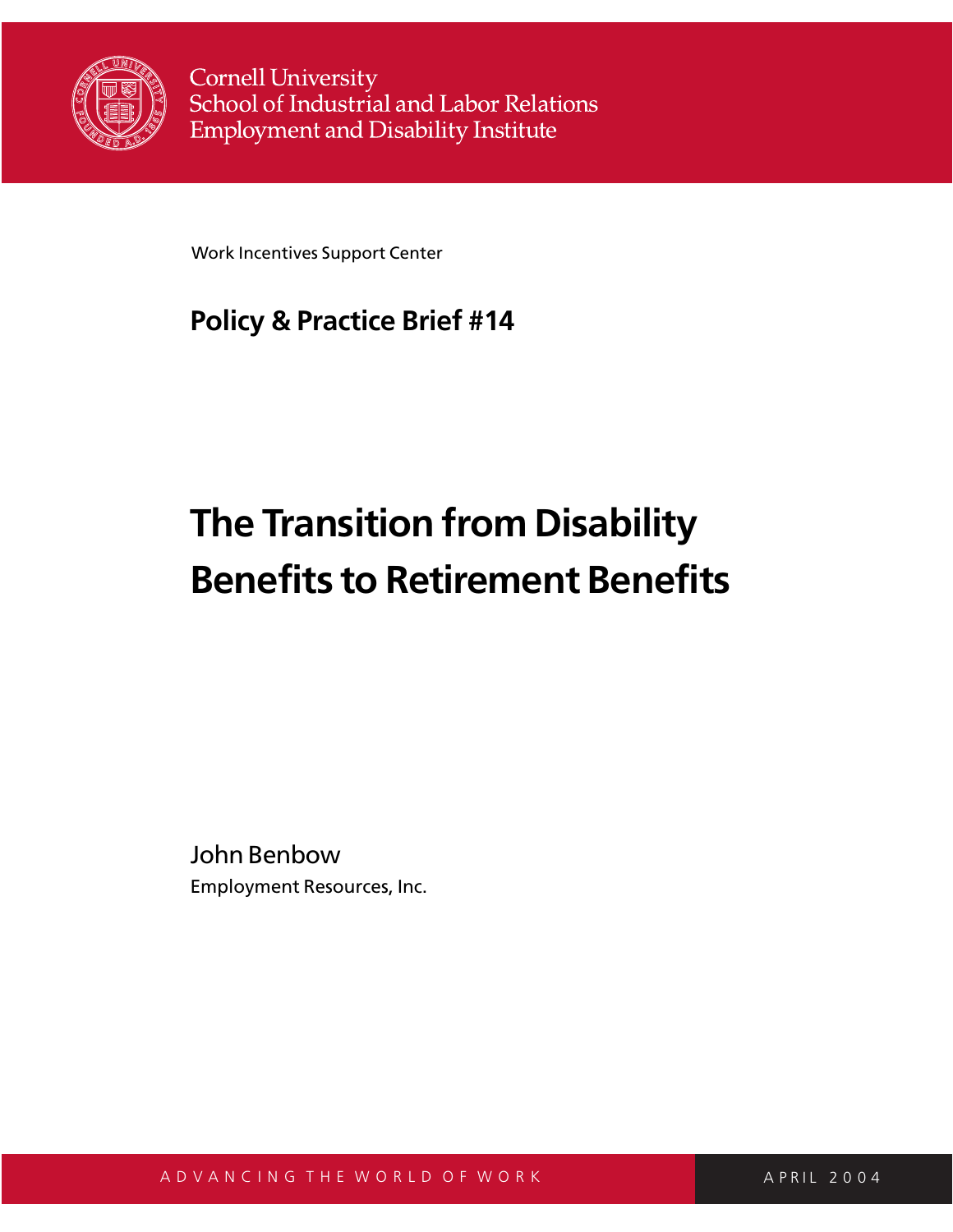

**Cornell University** School of Industrial and Labor Relations **Employment and Disability Institute** 

Work Incentives Support Center

# **Policy & Practice Brief #14**

# **The Transition from Disability Benefits to Retirement Benefits**

John Benbow Employment Resources, Inc.

A D V A N C I N G T H E W O R L D O F W O R K A P R A P R A P R I L 2 0 0 4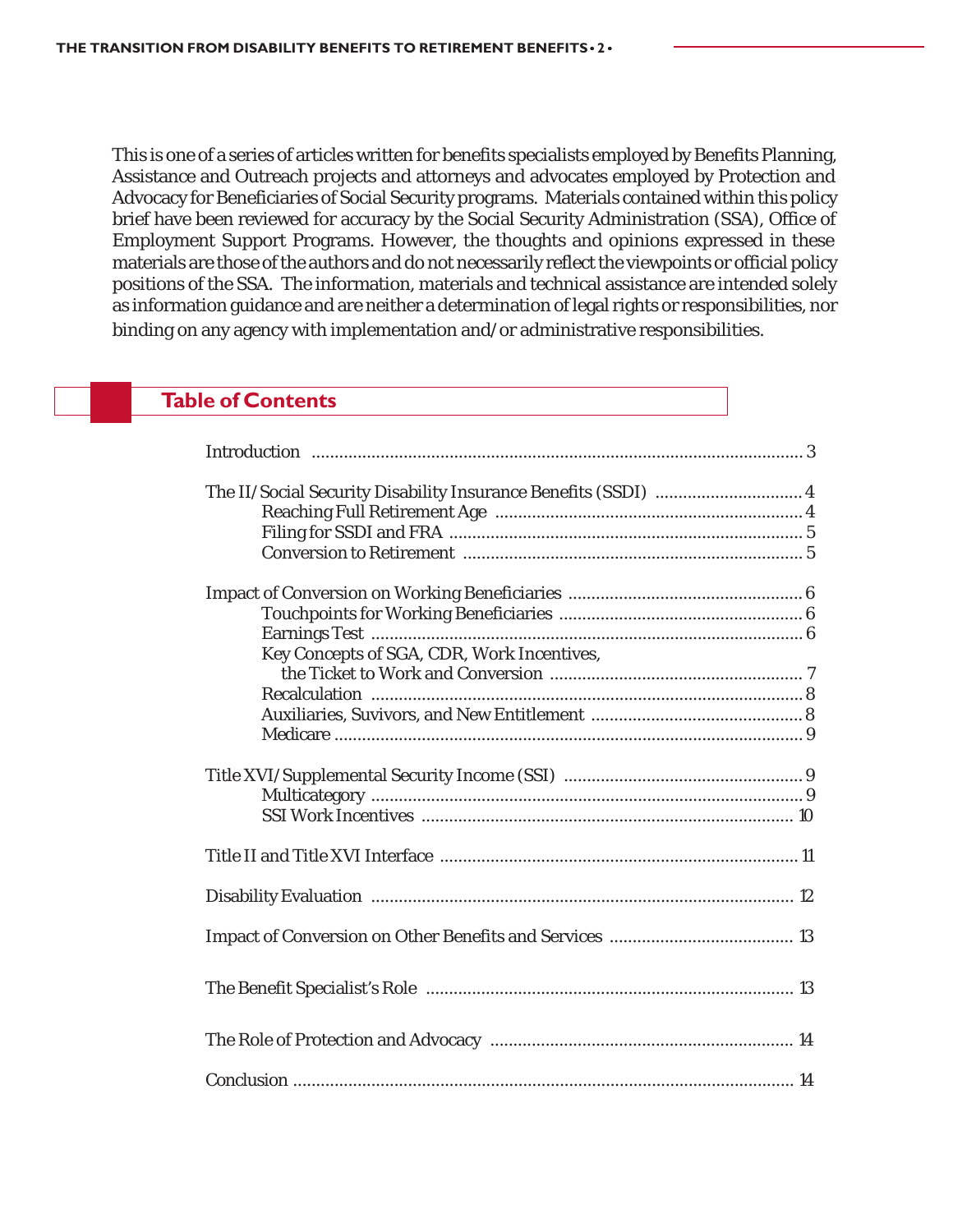This is one of a series of articles written for benefits specialists employed by Benefits Planning, Assistance and Outreach projects and attorneys and advocates employed by Protection and Advocacy for Beneficiaries of Social Security programs. Materials contained within this policy brief have been reviewed for accuracy by the Social Security Administration (SSA), Office of Employment Support Programs. However, the thoughts and opinions expressed in these materials are those of the authors and do not necessarily reflect the viewpoints or official policy positions of the SSA. The information, materials and technical assistance are intended solely as information guidance and are neither a determination of legal rights or responsibilities, nor binding on any agency with implementation and/or administrative responsibilities.

# **Table of Contents**

| The II/Social Security Disability Insurance Benefits (SSDI)  4 |  |
|----------------------------------------------------------------|--|
|                                                                |  |
|                                                                |  |
|                                                                |  |
|                                                                |  |
|                                                                |  |
|                                                                |  |
| Key Concepts of SGA, CDR, Work Incentives,                     |  |
|                                                                |  |
|                                                                |  |
|                                                                |  |
|                                                                |  |
|                                                                |  |
|                                                                |  |
|                                                                |  |
|                                                                |  |
|                                                                |  |
|                                                                |  |
|                                                                |  |
|                                                                |  |
|                                                                |  |
|                                                                |  |
|                                                                |  |
|                                                                |  |
|                                                                |  |
|                                                                |  |
|                                                                |  |
|                                                                |  |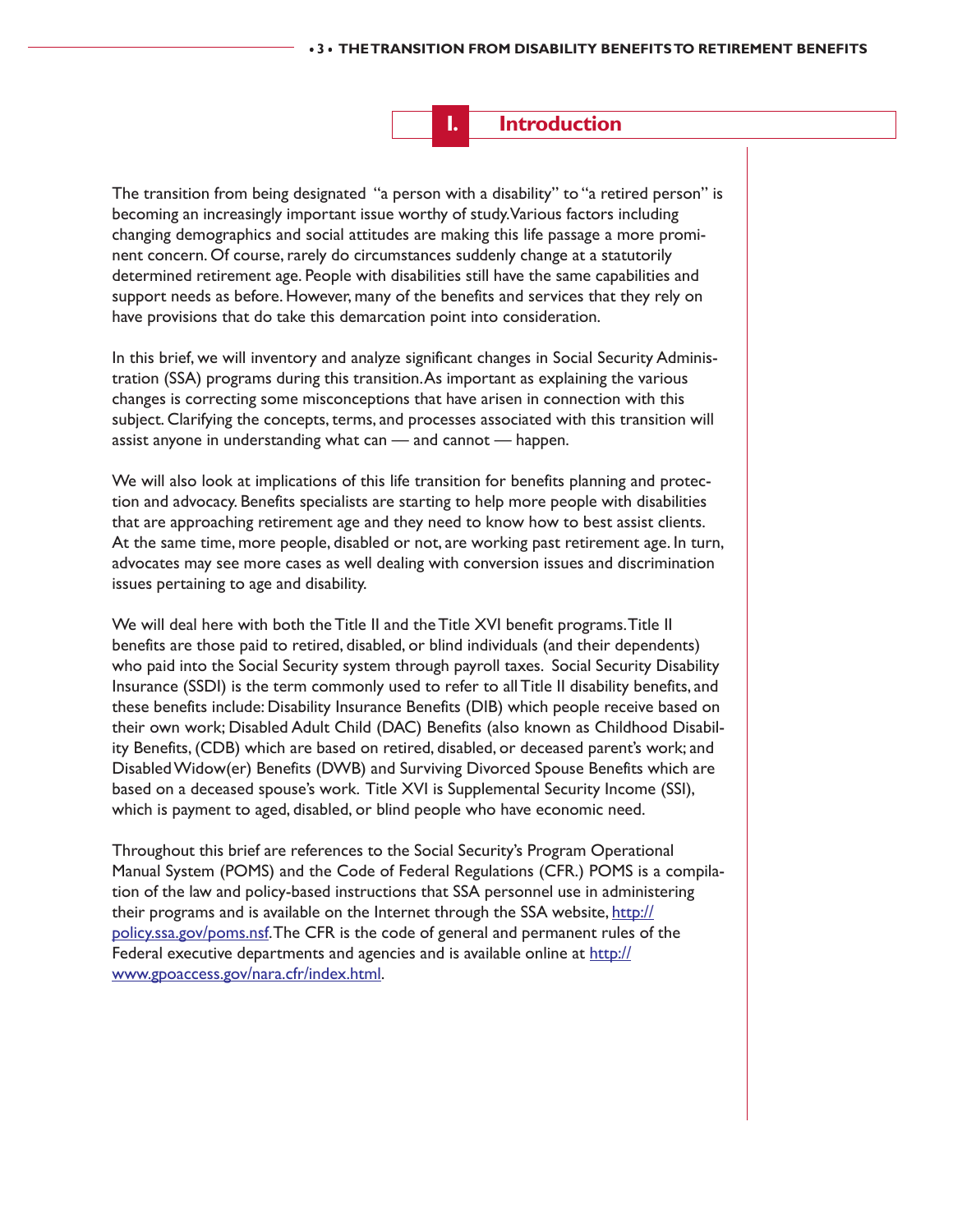**I. Introduction**

The transition from being designated "a person with a disability" to "a retired person" is becoming an increasingly important issue worthy of study. Various factors including changing demographics and social attitudes are making this life passage a more prominent concern. Of course, rarely do circumstances suddenly change at a statutorily determined retirement age. People with disabilities still have the same capabilities and support needs as before. However, many of the benefits and services that they rely on have provisions that do take this demarcation point into consideration.

In this brief, we will inventory and analyze significant changes in Social Security Administration (SSA) programs during this transition. As important as explaining the various changes is correcting some misconceptions that have arisen in connection with this subject. Clarifying the concepts, terms, and processes associated with this transition will assist anyone in understanding what can — and cannot — happen.

We will also look at implications of this life transition for benefits planning and protection and advocacy. Benefits specialists are starting to help more people with disabilities that are approaching retirement age and they need to know how to best assist clients. At the same time, more people, disabled or not, are working past retirement age. In turn, advocates may see more cases as well dealing with conversion issues and discrimination issues pertaining to age and disability.

We will deal here with both the Title II and the Title XVI benefit programs. Title II benefits are those paid to retired, disabled, or blind individuals (and their dependents) who paid into the Social Security system through payroll taxes. Social Security Disability Insurance (SSDI) is the term commonly used to refer to all Title II disability benefits, and these benefits include: Disability Insurance Benefits (DIB) which people receive based on their own work; Disabled Adult Child (DAC) Benefits (also known as Childhood Disability Benefits, (CDB) which are based on retired, disabled, or deceased parent's work; and Disabled Widow(er) Benefits (DWB) and Surviving Divorced Spouse Benefits which are based on a deceased spouse's work. Title XVI is Supplemental Security Income (SSI), which is payment to aged, disabled, or blind people who have economic need.

Throughout this brief are references to the Social Security's Program Operational Manual System (POMS) and the Code of Federal Regulations (CFR.) POMS is a compilation of the law and policy-based instructions that SSA personnel use in administering their programs and is available on the Internet through the SSA website, http:// policy.ssa.gov/poms.nsf. The CFR is the code of general and permanent rules of the Federal executive departments and agencies and is available online at http:// www.gpoaccess.gov/nara.cfr/index.html.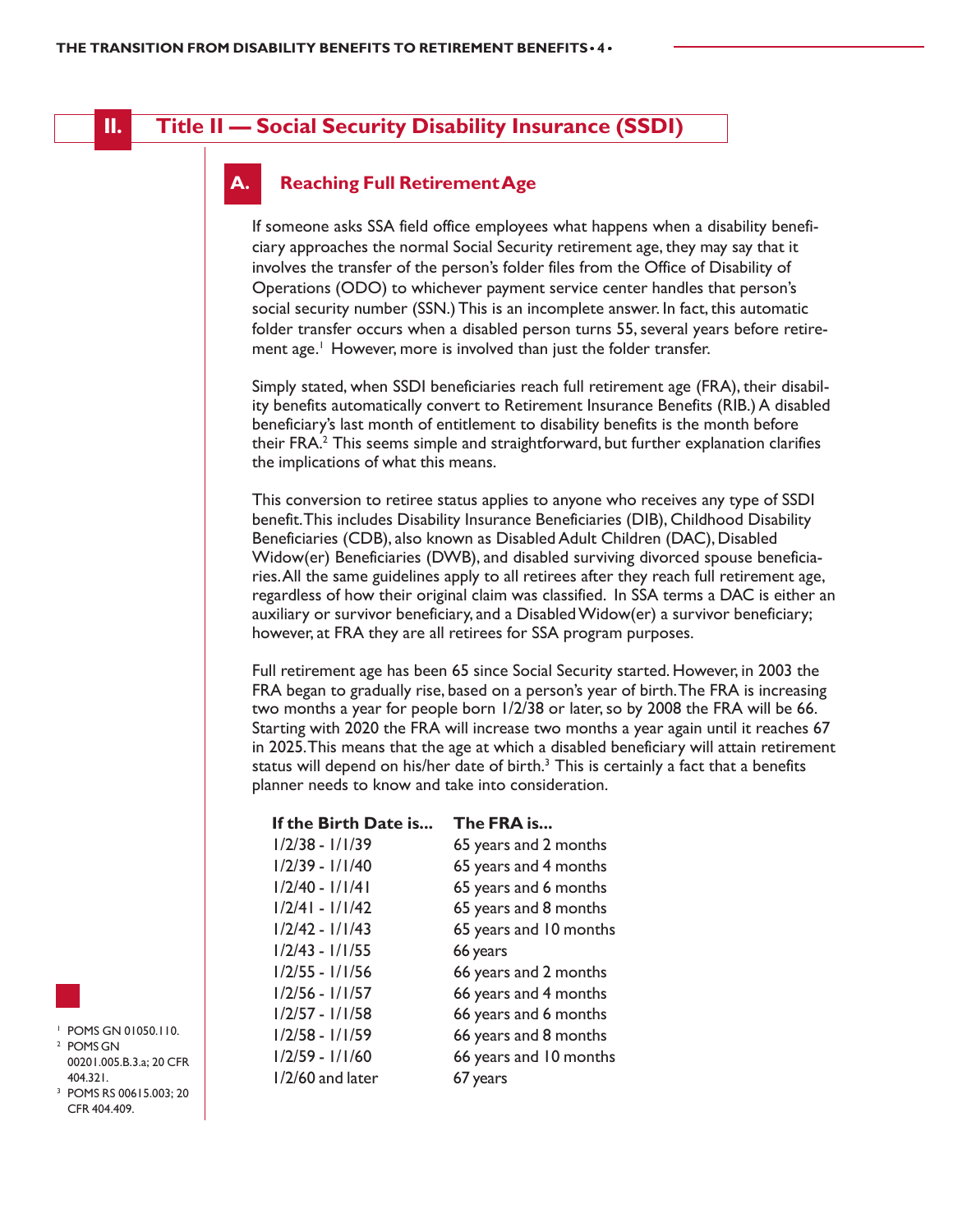# **II. Title II — Social Security Disability Insurance (SSDI)**

#### **A. Reaching Full Retirement Age**

If someone asks SSA field office employees what happens when a disability beneficiary approaches the normal Social Security retirement age, they may say that it involves the transfer of the person's folder files from the Office of Disability of Operations (ODO) to whichever payment service center handles that person's social security number (SSN.) This is an incomplete answer. In fact, this automatic folder transfer occurs when a disabled person turns 55, several years before retirement age.<sup>1</sup> However, more is involved than just the folder transfer.

Simply stated, when SSDI beneficiaries reach full retirement age (FRA), their disability benefits automatically convert to Retirement Insurance Benefits (RIB.) A disabled beneficiary's last month of entitlement to disability benefits is the month before their FRA.<sup>2</sup> This seems simple and straightforward, but further explanation clarifies the implications of what this means.

This conversion to retiree status applies to anyone who receives any type of SSDI benefit. This includes Disability Insurance Beneficiaries (DIB), Childhood Disability Beneficiaries (CDB), also known as Disabled Adult Children (DAC), Disabled Widow(er) Beneficiaries (DWB), and disabled surviving divorced spouse beneficiaries. All the same guidelines apply to all retirees after they reach full retirement age, regardless of how their original claim was classified. In SSA terms a DAC is either an auxiliary or survivor beneficiary, and a Disabled Widow(er) a survivor beneficiary; however, at FRA they are all retirees for SSA program purposes.

Full retirement age has been 65 since Social Security started. However, in 2003 the FRA began to gradually rise, based on a person's year of birth. The FRA is increasing two months a year for people born 1/2/38 or later, so by 2008 the FRA will be 66. Starting with 2020 the FRA will increase two months a year again until it reaches 67 in 2025. This means that the age at which a disabled beneficiary will attain retirement status will depend on his/her date of birth. $3$  This is certainly a fact that a benefits planner needs to know and take into consideration.

| The FRA is             |
|------------------------|
| 65 years and 2 months  |
| 65 years and 4 months  |
| 65 years and 6 months  |
| 65 years and 8 months  |
| 65 years and 10 months |
| 66 years               |
| 66 years and 2 months  |
| 66 years and 4 months  |
| 66 years and 6 months  |
| 66 years and 8 months  |
| 66 years and 10 months |
| 67 years               |
|                        |



- <sup>1</sup> POMS GN 01050.110. <sup>2</sup> POMS GN 00201.005.B.3.a; 20 CFR 404.321.
- <sup>3</sup> POMS RS 00615.003; 20 CFR 404.409.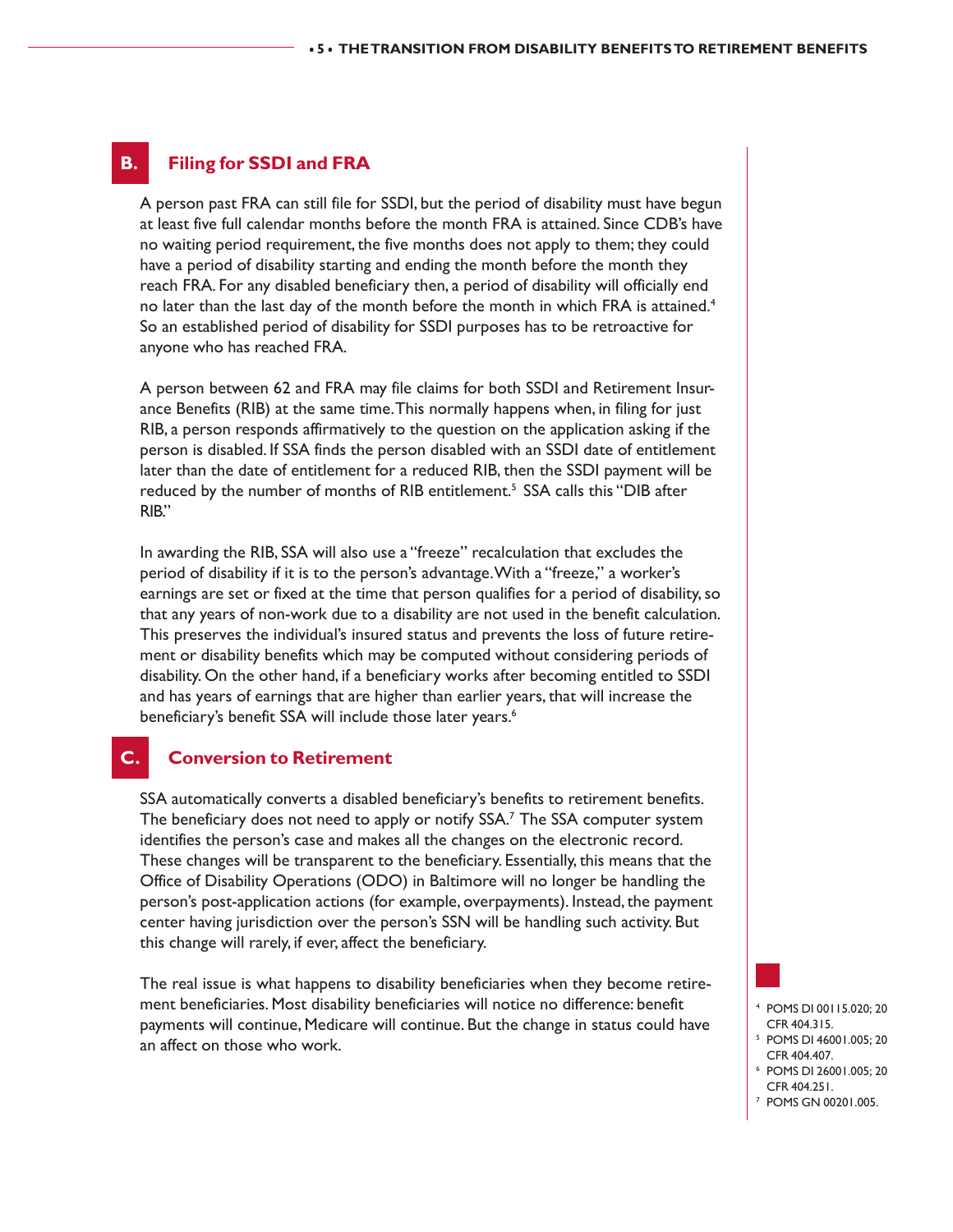#### **B. Filing for SSDI and FRA**

A person past FRA can still file for SSDI, but the period of disability must have begun at least five full calendar months before the month FRA is attained. Since CDB's have no waiting period requirement, the five months does not apply to them; they could have a period of disability starting and ending the month before the month they reach FRA. For any disabled beneficiary then, a period of disability will officially end no later than the last day of the month before the month in which FRA is attained.<sup>4</sup> So an established period of disability for SSDI purposes has to be retroactive for anyone who has reached FRA.

A person between 62 and FRA may file claims for both SSDI and Retirement Insurance Benefits (RIB) at the same time. This normally happens when, in filing for just RIB, a person responds affirmatively to the question on the application asking if the person is disabled. If SSA finds the person disabled with an SSDI date of entitlement later than the date of entitlement for a reduced RIB, then the SSDI payment will be reduced by the number of months of RIB entitlement.<sup>5</sup> SSA calls this "DIB after RIB."

In awarding the RIB, SSA will also use a "freeze" recalculation that excludes the period of disability if it is to the person's advantage. With a "freeze," a worker's earnings are set or fixed at the time that person qualifies for a period of disability, so that any years of non-work due to a disability are not used in the benefit calculation. This preserves the individual's insured status and prevents the loss of future retirement or disability benefits which may be computed without considering periods of disability. On the other hand, if a beneficiary works after becoming entitled to SSDI and has years of earnings that are higher than earlier years, that will increase the beneficiary's benefit SSA will include those later years.<sup>6</sup>

## **C. Conversion to Retirement**

SSA automatically converts a disabled beneficiary's benefits to retirement benefits. The beneficiary does not need to apply or notify SSA.<sup>7</sup> The SSA computer system identifies the person's case and makes all the changes on the electronic record. These changes will be transparent to the beneficiary. Essentially, this means that the Office of Disability Operations (ODO) in Baltimore will no longer be handling the person's post-application actions (for example, overpayments). Instead, the payment center having jurisdiction over the person's SSN will be handling such activity. But this change will rarely, if ever, affect the beneficiary.

The real issue is what happens to disability beneficiaries when they become retirement beneficiaries. Most disability beneficiaries will notice no difference: benefit payments will continue, Medicare will continue. But the change in status could have an affect on those who work.



- <sup>4</sup> POMS DI 00115.020; 20 CFR 404.315. <sup>5</sup> POMS DI 46001.005; 20
- CFR 404.407.
- <sup>6</sup> POMS DI 26001.005; 20
- CFR 404.251.
- <sup>7</sup> POMS GN 00201.005.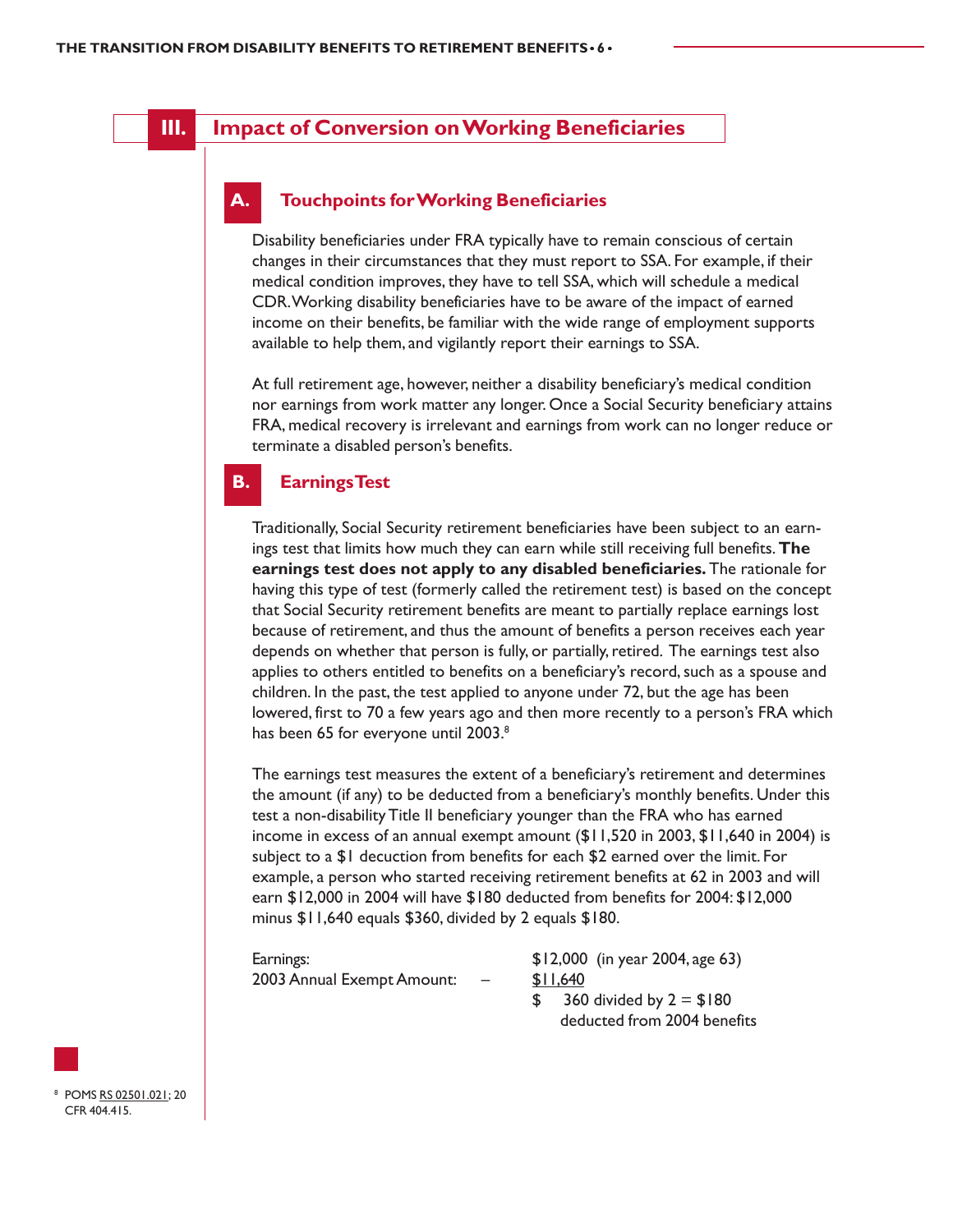# **III. Impact of Conversion on Working Beneficiaries**

#### **A. Touchpoints for Working Beneficiaries**

Disability beneficiaries under FRA typically have to remain conscious of certain changes in their circumstances that they must report to SSA. For example, if their medical condition improves, they have to tell SSA, which will schedule a medical CDR. Working disability beneficiaries have to be aware of the impact of earned income on their benefits, be familiar with the wide range of employment supports available to help them, and vigilantly report their earnings to SSA.

At full retirement age, however, neither a disability beneficiary's medical condition nor earnings from work matter any longer. Once a Social Security beneficiary attains FRA, medical recovery is irrelevant and earnings from work can no longer reduce or terminate a disabled person's benefits.

#### **B. Earnings Test**

Traditionally, Social Security retirement beneficiaries have been subject to an earnings test that limits how much they can earn while still receiving full benefits. **The earnings test does not apply to any disabled beneficiaries.** The rationale for having this type of test (formerly called the retirement test) is based on the concept that Social Security retirement benefits are meant to partially replace earnings lost because of retirement, and thus the amount of benefits a person receives each year depends on whether that person is fully, or partially, retired. The earnings test also applies to others entitled to benefits on a beneficiary's record, such as a spouse and children. In the past, the test applied to anyone under 72, but the age has been lowered, first to 70 a few years ago and then more recently to a person's FRA which has been 65 for everyone until 2003.<sup>8</sup>

The earnings test measures the extent of a beneficiary's retirement and determines the amount (if any) to be deducted from a beneficiary's monthly benefits. Under this test a non-disability Title II beneficiary younger than the FRA who has earned income in excess of an annual exempt amount (\$11,520 in 2003, \$11,640 in 2004) is subject to a \$1 decuction from benefits for each \$2 earned over the limit. For example, a person who started receiving retirement benefits at 62 in 2003 and will earn \$12,000 in 2004 will have \$180 deducted from benefits for 2004: \$12,000 minus \$11,640 equals \$360, divided by 2 equals \$180.

| Earnings:                  |                          | $$12,000$ (in year 2004, age 63) |
|----------------------------|--------------------------|----------------------------------|
| 2003 Annual Exempt Amount: | $\overline{\phantom{0}}$ | \$11.640                         |
|                            |                          | 360 divided by $2 = $180$        |
|                            |                          | deducted from 2004 benefits      |

<sup>8</sup> POMS RS 02501.021; 20 CFR 404.415.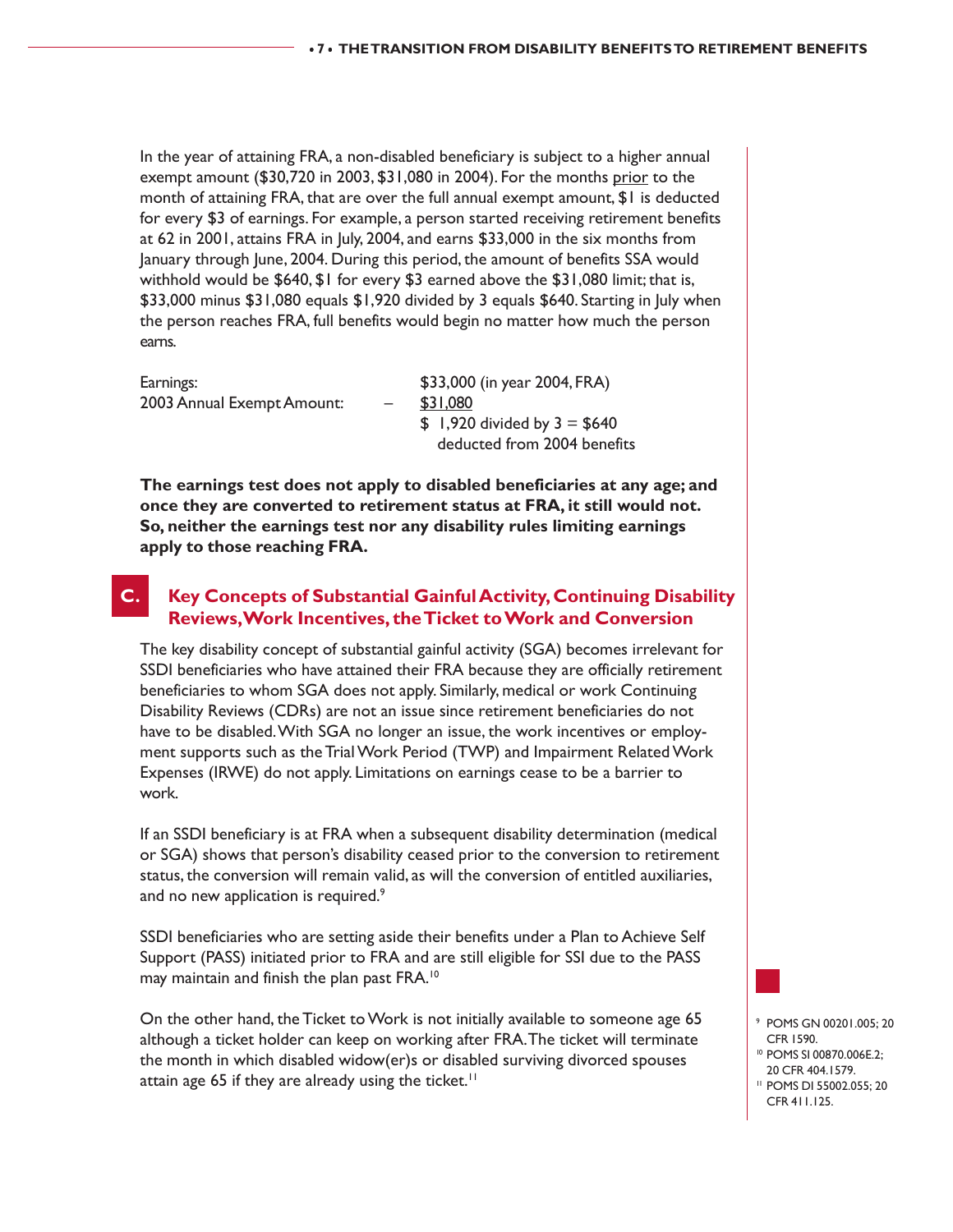In the year of attaining FRA, a non-disabled beneficiary is subject to a higher annual exempt amount (\$30,720 in 2003, \$31,080 in 2004). For the months prior to the month of attaining FRA, that are over the full annual exempt amount, \$1 is deducted for every \$3 of earnings. For example, a person started receiving retirement benefits at 62 in 2001, attains FRA in July, 2004, and earns \$33,000 in the six months from January through June, 2004. During this period, the amount of benefits SSA would withhold would be \$640, \$1 for every \$3 earned above the \$31,080 limit; that is, \$33,000 minus \$31,080 equals \$1,920 divided by 3 equals \$640. Starting in July when the person reaches FRA, full benefits would begin no matter how much the person earns.

| Earnings:                  | \$33,000 (in year 2004, FRA)   |
|----------------------------|--------------------------------|
| 2003 Annual Exempt Amount: | \$31,080                       |
|                            | $$1,920$ divided by $3 = $640$ |
|                            | deducted from 2004 benefits    |

**The earnings test does not apply to disabled beneficiaries at any age; and once they are converted to retirement status at FRA, it still would not. So, neither the earnings test nor any disability rules limiting earnings apply to those reaching FRA.**

# **C. Key Concepts of Substantial Gainful Activity, Continuing Disability Reviews, Work Incentives, the Ticket to Work and Conversion**

The key disability concept of substantial gainful activity (SGA) becomes irrelevant for SSDI beneficiaries who have attained their FRA because they are officially retirement beneficiaries to whom SGA does not apply. Similarly, medical or work Continuing Disability Reviews (CDRs) are not an issue since retirement beneficiaries do not have to be disabled. With SGA no longer an issue, the work incentives or employment supports such as the Trial Work Period (TWP) and Impairment Related Work Expenses (IRWE) do not apply. Limitations on earnings cease to be a barrier to work.

If an SSDI beneficiary is at FRA when a subsequent disability determination (medical or SGA) shows that person's disability ceased prior to the conversion to retirement status, the conversion will remain valid, as will the conversion of entitled auxiliaries, and no new application is required.<sup>9</sup>

SSDI beneficiaries who are setting aside their benefits under a Plan to Achieve Self Support (PASS) initiated prior to FRA and are still eligible for SSI due to the PASS may maintain and finish the plan past FRA.<sup>10</sup>

On the other hand, the Ticket to Work is not initially available to someone age 65 although a ticket holder can keep on working after FRA. The ticket will terminate the month in which disabled widow(er)s or disabled surviving divorced spouses attain age 65 if they are already using the ticket.<sup>11</sup>



- <sup>9</sup> POMS GN 00201.005; 20 CFR 1590.
- <sup>10</sup> POMS SI 00870.006E.2; 20 CFR 404.1579.
- <sup>11</sup> POMS DI 55002.055; 20 CFR 411.125.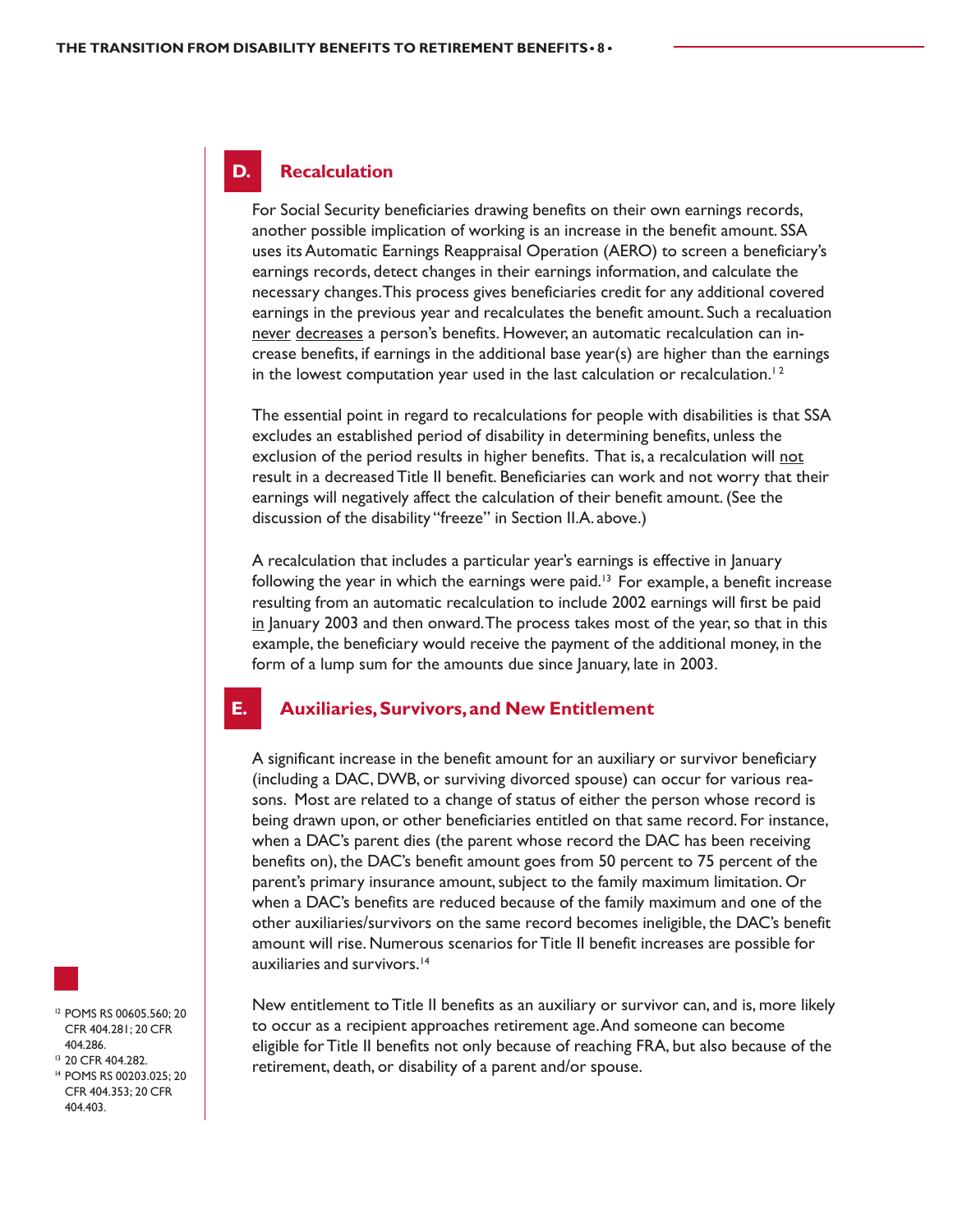#### **D. Recalculation**

For Social Security beneficiaries drawing benefits on their own earnings records, another possible implication of working is an increase in the benefit amount. SSA uses its Automatic Earnings Reappraisal Operation (AERO) to screen a beneficiary's earnings records, detect changes in their earnings information, and calculate the necessary changes. This process gives beneficiaries credit for any additional covered earnings in the previous year and recalculates the benefit amount. Such a recaluation never decreases a person's benefits. However, an automatic recalculation can increase benefits, if earnings in the additional base year(s) are higher than the earnings in the lowest computation year used in the last calculation or recalculation.<sup>12</sup>

The essential point in regard to recalculations for people with disabilities is that SSA excludes an established period of disability in determining benefits, unless the exclusion of the period results in higher benefits. That is, a recalculation will not result in a decreased Title II benefit. Beneficiaries can work and not worry that their earnings will negatively affect the calculation of their benefit amount. (See the discussion of the disability "freeze" in Section II.A. above.)

A recalculation that includes a particular year's earnings is effective in January following the year in which the earnings were paid.<sup>13</sup> For example, a benefit increase resulting from an automatic recalculation to include 2002 earnings will first be paid in January 2003 and then onward. The process takes most of the year, so that in this example, the beneficiary would receive the payment of the additional money, in the form of a lump sum for the amounts due since January, late in 2003.

#### **E. Auxiliaries, Survivors, and New Entitlement**

A significant increase in the benefit amount for an auxiliary or survivor beneficiary (including a DAC, DWB, or surviving divorced spouse) can occur for various reasons. Most are related to a change of status of either the person whose record is being drawn upon, or other beneficiaries entitled on that same record. For instance, when a DAC's parent dies (the parent whose record the DAC has been receiving benefits on), the DAC's benefit amount goes from 50 percent to 75 percent of the parent's primary insurance amount, subject to the family maximum limitation. Or when a DAC's benefits are reduced because of the family maximum and one of the other auxiliaries/survivors on the same record becomes ineligible, the DAC's benefit amount will rise. Numerous scenarios for Title II benefit increases are possible for auxiliaries and survivors.<sup>14</sup>

New entitlement to Title II benefits as an auxiliary or survivor can, and is, more likely to occur as a recipient approaches retirement age. And someone can become eligible for Title II benefits not only because of reaching FRA, but also because of the retirement, death, or disability of a parent and/or spouse.



<sup>12</sup> POMS RS 00605.560; 20 CFR 404.281; 20 CFR 404.286.

- <sup>13</sup> 20 CFR 404.282.
- <sup>14</sup> POMS RS 00203.025; 20 CFR 404.353; 20 CFR 404.403.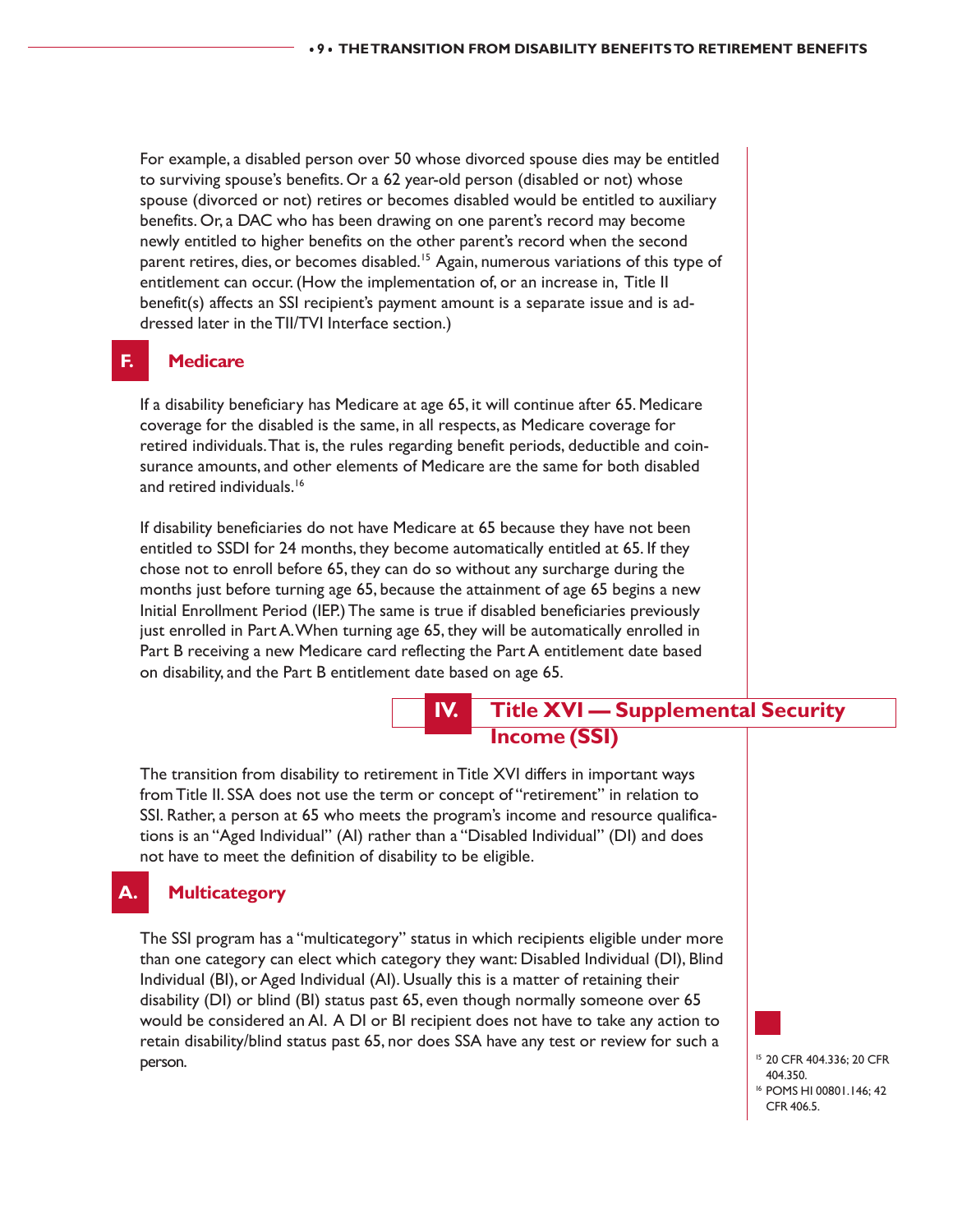For example, a disabled person over 50 whose divorced spouse dies may be entitled to surviving spouse's benefits. Or a 62 year-old person (disabled or not) whose spouse (divorced or not) retires or becomes disabled would be entitled to auxiliary benefits. Or, a DAC who has been drawing on one parent's record may become newly entitled to higher benefits on the other parent's record when the second parent retires, dies, or becomes disabled.<sup>15</sup> Again, numerous variations of this type of entitlement can occur. (How the implementation of, or an increase in, Title II benefit(s) affects an SSI recipient's payment amount is a separate issue and is addressed later in the TII/TVI Interface section.)

## **F. Medicare**

If a disability beneficiary has Medicare at age 65, it will continue after 65. Medicare coverage for the disabled is the same, in all respects, as Medicare coverage for retired individuals. That is, the rules regarding benefit periods, deductible and coinsurance amounts, and other elements of Medicare are the same for both disabled and retired individuals.<sup>16</sup>

If disability beneficiaries do not have Medicare at 65 because they have not been entitled to SSDI for 24 months, they become automatically entitled at 65. If they chose not to enroll before 65, they can do so without any surcharge during the months just before turning age 65, because the attainment of age 65 begins a new Initial Enrollment Period (IEP.) The same is true if disabled beneficiaries previously just enrolled in Part A. When turning age 65, they will be automatically enrolled in Part B receiving a new Medicare card reflecting the Part A entitlement date based on disability, and the Part B entitlement date based on age 65.

# **IV. Title XVI — Supplemental Security Income (SSI)**

The transition from disability to retirement in Title XVI differs in important ways from Title II. SSA does not use the term or concept of "retirement" in relation to SSI. Rather, a person at 65 who meets the program's income and resource qualifications is an "Aged Individual" (AI) rather than a "Disabled Individual" (DI) and does not have to meet the definition of disability to be eligible.

## **A. Multicategory**

The SSI program has a "multicategory" status in which recipients eligible under more than one category can elect which category they want: Disabled Individual (DI), Blind Individual (BI), or Aged Individual (AI). Usually this is a matter of retaining their disability (DI) or blind (BI) status past 65, even though normally someone over 65 would be considered an AI. A DI or BI recipient does not have to take any action to retain disability/blind status past 65, nor does SSA have any test or review for such a **person.** 15 20 CFR 404.336; 20 CFR 404.336; 20 CFR 404.336; 20 CFR 404.336; 20 CFR 404.336; 20 CFR 404.336; 20 CFR 404.336; 20 CFR 404.336; 20 CFR 404.336; 20 CFR 404.336; 20 CFR 404.336; 20 CFR 404.336; 20 CFR 404.336; 2



404.350.

<sup>16</sup> POMS HI 00801.146; 42 CFR 406.5.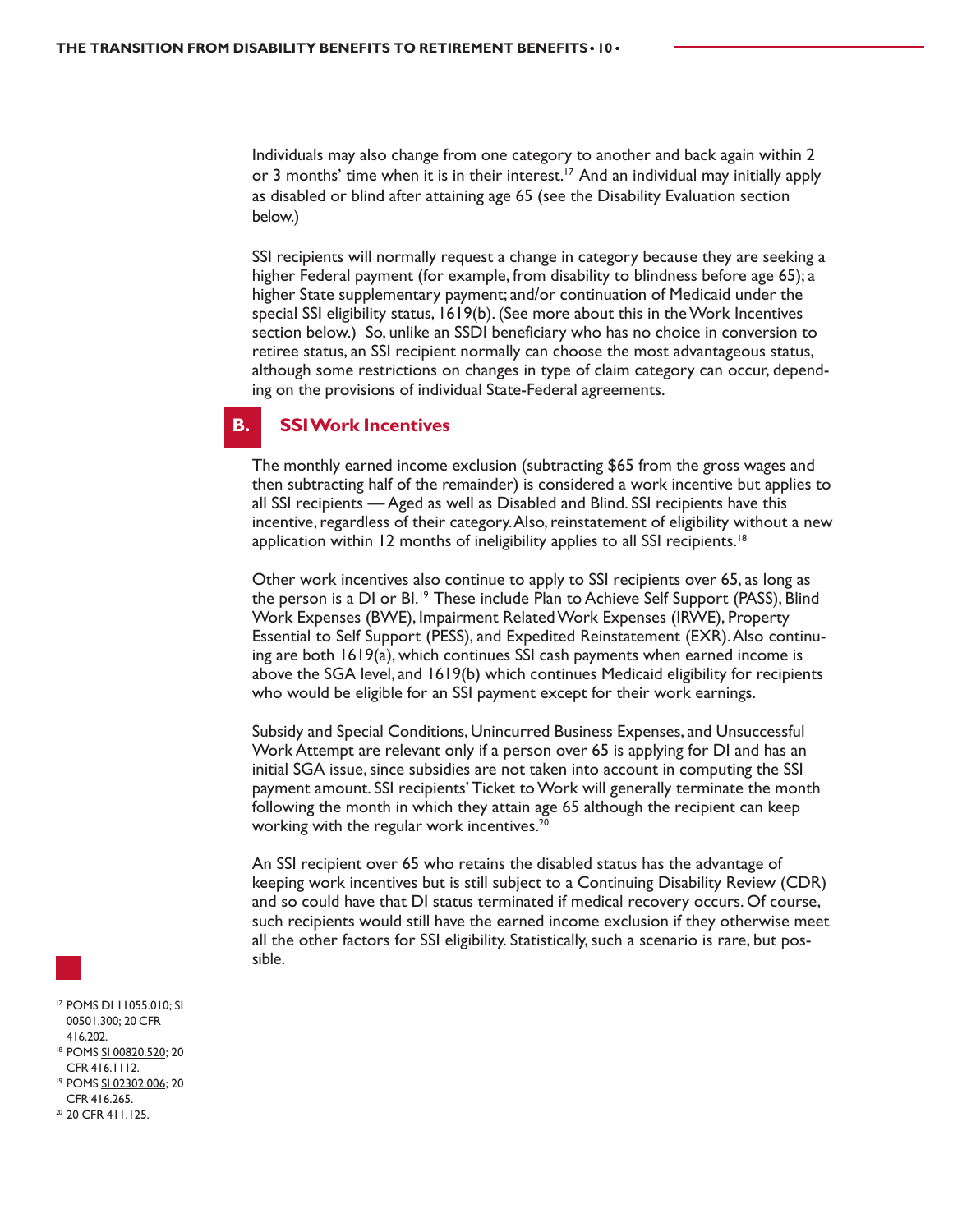Individuals may also change from one category to another and back again within 2 or 3 months' time when it is in their interest.<sup>17</sup> And an individual may initially apply as disabled or blind after attaining age 65 (see the Disability Evaluation section below.)

SSI recipients will normally request a change in category because they are seeking a higher Federal payment (for example, from disability to blindness before age 65); a higher State supplementary payment; and/or continuation of Medicaid under the special SSI eligibility status, 1619(b). (See more about this in the Work Incentives section below.) So, unlike an SSDI beneficiary who has no choice in conversion to retiree status, an SSI recipient normally can choose the most advantageous status, although some restrictions on changes in type of claim category can occur, depending on the provisions of individual State-Federal agreements.

#### **B. SSI Work Incentives**

The monthly earned income exclusion (subtracting \$65 from the gross wages and then subtracting half of the remainder) is considered a work incentive but applies to all SSI recipients — Aged as well as Disabled and Blind. SSI recipients have this incentive, regardless of their category. Also, reinstatement of eligibility without a new application within 12 months of ineligibility applies to all SSI recipients.<sup>18</sup>

Other work incentives also continue to apply to SSI recipients over 65, as long as the person is a DI or BI.<sup>19</sup> These include Plan to Achieve Self Support (PASS), Blind Work Expenses (BWE), Impairment Related Work Expenses (IRWE), Property Essential to Self Support (PESS), and Expedited Reinstatement (EXR). Also continuing are both 1619(a), which continues SSI cash payments when earned income is above the SGA level, and 1619(b) which continues Medicaid eligibility for recipients who would be eligible for an SSI payment except for their work earnings.

Subsidy and Special Conditions, Unincurred Business Expenses, and Unsuccessful Work Attempt are relevant only if a person over 65 is applying for DI and has an initial SGA issue, since subsidies are not taken into account in computing the SSI payment amount. SSI recipients' Ticket to Work will generally terminate the month following the month in which they attain age 65 although the recipient can keep working with the regular work incentives.<sup>20</sup>

An SSI recipient over 65 who retains the disabled status has the advantage of keeping work incentives but is still subject to a Continuing Disability Review (CDR) and so could have that DI status terminated if medical recovery occurs. Of course, such recipients would still have the earned income exclusion if they otherwise meet all the other factors for SSI eligibility. Statistically, such a scenario is rare, but possible.

- <sup>17</sup> POMS DI 11055.010; SI 00501.300; 20 CFR 416.202. <sup>18</sup> POMS SI 00820.520; 20
- CFR 416.1112. <sup>19</sup> POMS SI 02302.006; 20
- CFR 416.265. <sup>20</sup> 20 CFR 411.125.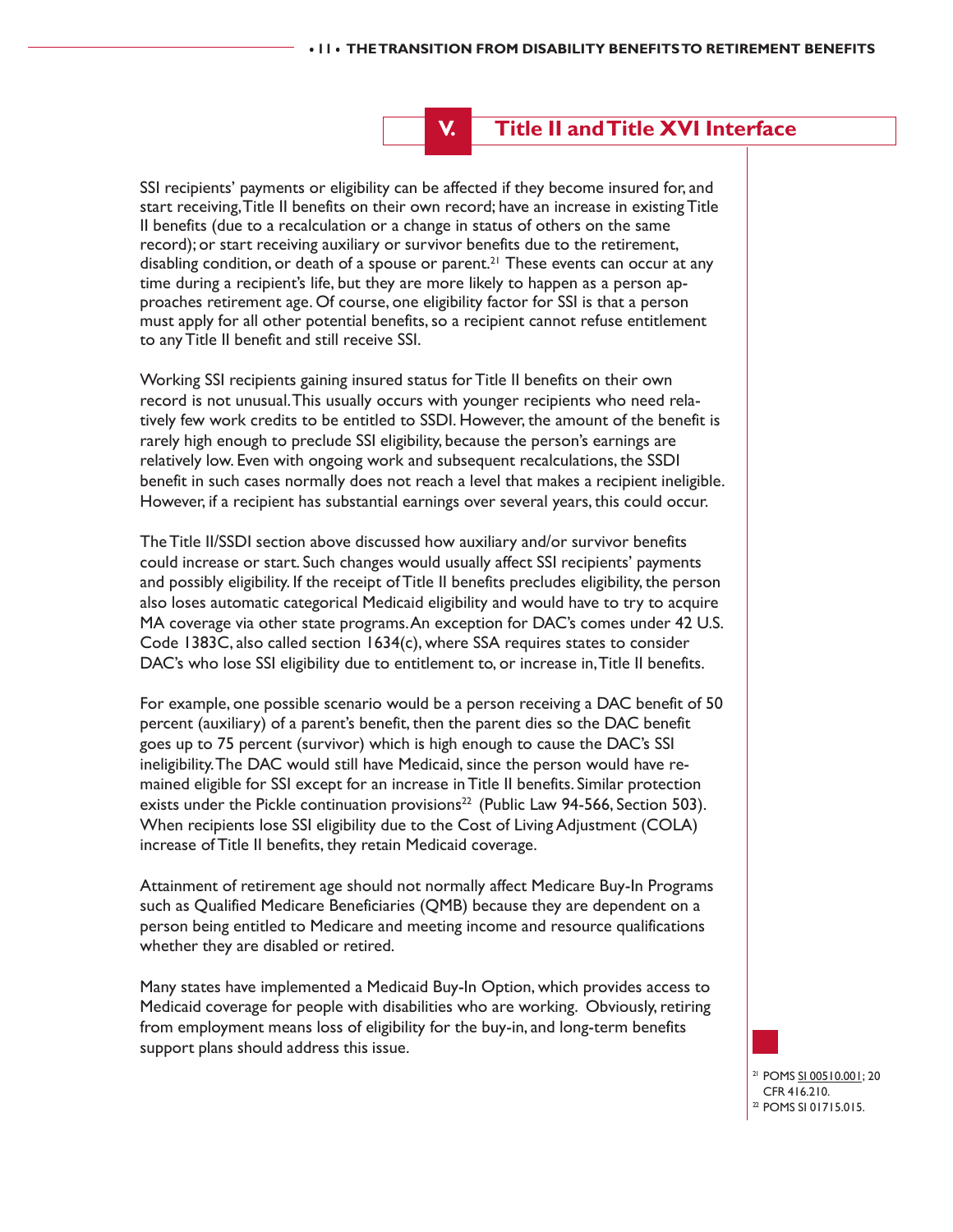# **V. Title II and Title XVI Interface**

SSI recipients' payments or eligibility can be affected if they become insured for, and start receiving, Title II benefits on their own record; have an increase in existing Title II benefits (due to a recalculation or a change in status of others on the same record); or start receiving auxiliary or survivor benefits due to the retirement, disabling condition, or death of a spouse or parent.<sup>21</sup> These events can occur at any time during a recipient's life, but they are more likely to happen as a person approaches retirement age. Of course, one eligibility factor for SSI is that a person must apply for all other potential benefits, so a recipient cannot refuse entitlement to any Title II benefit and still receive SSI.

Working SSI recipients gaining insured status for Title II benefits on their own record is not unusual. This usually occurs with younger recipients who need relatively few work credits to be entitled to SSDI. However, the amount of the benefit is rarely high enough to preclude SSI eligibility, because the person's earnings are relatively low. Even with ongoing work and subsequent recalculations, the SSDI benefit in such cases normally does not reach a level that makes a recipient ineligible. However, if a recipient has substantial earnings over several years, this could occur.

The Title II/SSDI section above discussed how auxiliary and/or survivor benefits could increase or start. Such changes would usually affect SSI recipients' payments and possibly eligibility. If the receipt of Title II benefits precludes eligibility, the person also loses automatic categorical Medicaid eligibility and would have to try to acquire MA coverage via other state programs. An exception for DAC's comes under 42 U.S. Code 1383C, also called section 1634(c), where SSA requires states to consider DAC's who lose SSI eligibility due to entitlement to, or increase in, Title II benefits.

For example, one possible scenario would be a person receiving a DAC benefit of 50 percent (auxiliary) of a parent's benefit, then the parent dies so the DAC benefit goes up to 75 percent (survivor) which is high enough to cause the DAC's SSI ineligibility. The DAC would still have Medicaid, since the person would have remained eligible for SSI except for an increase in Title II benefits. Similar protection exists under the Pickle continuation provisions<sup>22</sup> (Public Law 94-566, Section 503). When recipients lose SSI eligibility due to the Cost of Living Adjustment (COLA) increase of Title II benefits, they retain Medicaid coverage.

Attainment of retirement age should not normally affect Medicare Buy-In Programs such as Qualified Medicare Beneficiaries (QMB) because they are dependent on a person being entitled to Medicare and meeting income and resource qualifications whether they are disabled or retired.

Many states have implemented a Medicaid Buy-In Option, which provides access to Medicaid coverage for people with disabilities who are working. Obviously, retiring from employment means loss of eligibility for the buy-in, and long-term benefits support plans should address this issue.

> <sup>21</sup> POMS SI 00510.001; 20 CFR 416.210. <sup>22</sup> POMS SI 01715.015.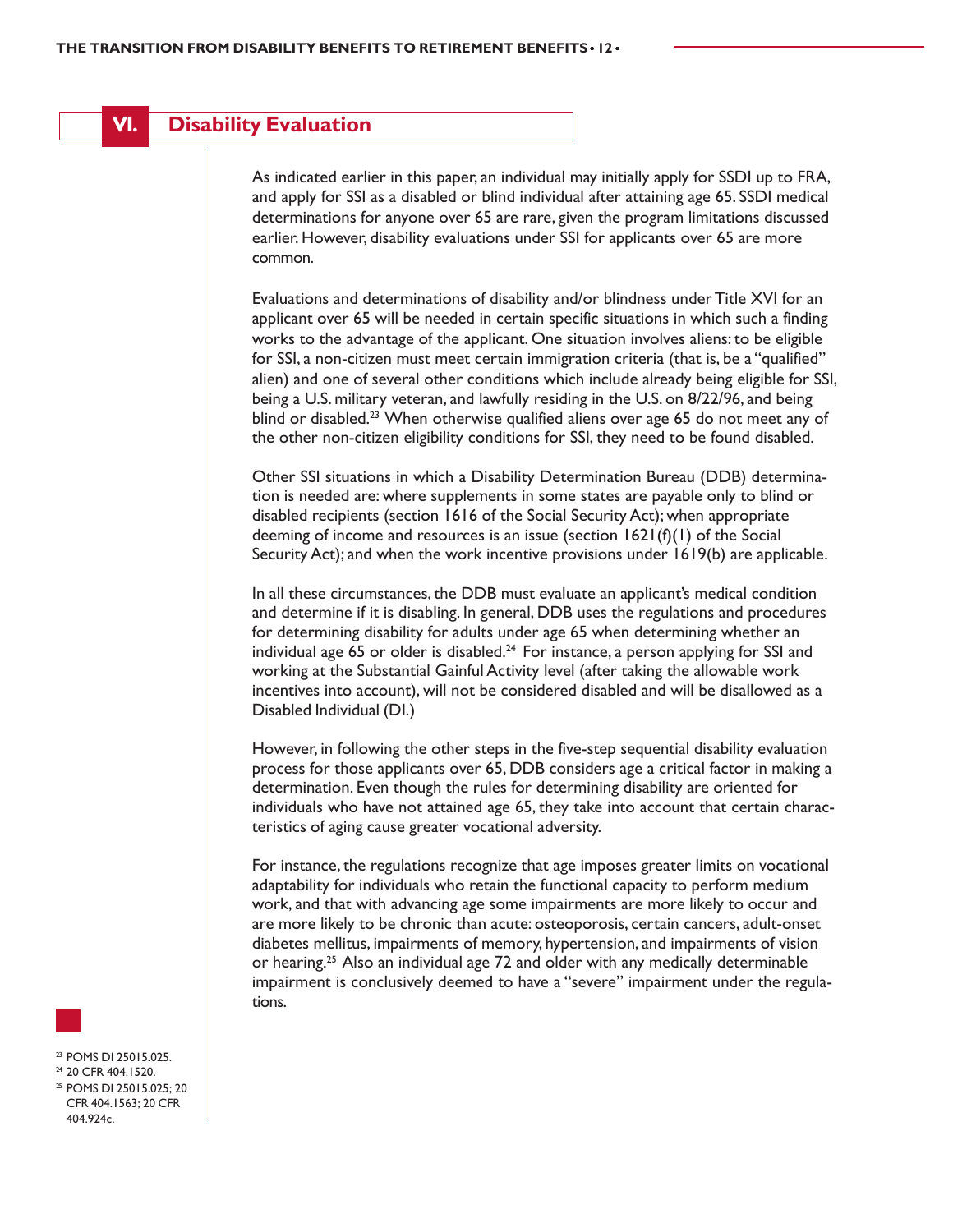# **VI. Disability Evaluation**

As indicated earlier in this paper, an individual may initially apply for SSDI up to FRA, and apply for SSI as a disabled or blind individual after attaining age 65. SSDI medical determinations for anyone over 65 are rare, given the program limitations discussed earlier. However, disability evaluations under SSI for applicants over 65 are more common.

Evaluations and determinations of disability and/or blindness under Title XVI for an applicant over 65 will be needed in certain specific situations in which such a finding works to the advantage of the applicant. One situation involves aliens: to be eligible for SSI, a non-citizen must meet certain immigration criteria (that is, be a "qualified" alien) and one of several other conditions which include already being eligible for SSI, being a U.S. military veteran, and lawfully residing in the U.S. on 8/22/96, and being blind or disabled.<sup>23</sup> When otherwise qualified aliens over age 65 do not meet any of the other non-citizen eligibility conditions for SSI, they need to be found disabled.

Other SSI situations in which a Disability Determination Bureau (DDB) determination is needed are: where supplements in some states are payable only to blind or disabled recipients (section 1616 of the Social Security Act); when appropriate deeming of income and resources is an issue (section 1621(f)(1) of the Social Security Act); and when the work incentive provisions under 1619(b) are applicable.

In all these circumstances, the DDB must evaluate an applicant's medical condition and determine if it is disabling. In general, DDB uses the regulations and procedures for determining disability for adults under age 65 when determining whether an individual age 65 or older is disabled.<sup>24</sup> For instance, a person applying for SSI and working at the Substantial Gainful Activity level (after taking the allowable work incentives into account), will not be considered disabled and will be disallowed as a Disabled Individual (DI.)

However, in following the other steps in the five-step sequential disability evaluation process for those applicants over 65, DDB considers age a critical factor in making a determination. Even though the rules for determining disability are oriented for individuals who have not attained age 65, they take into account that certain characteristics of aging cause greater vocational adversity.

For instance, the regulations recognize that age imposes greater limits on vocational adaptability for individuals who retain the functional capacity to perform medium work, and that with advancing age some impairments are more likely to occur and are more likely to be chronic than acute: osteoporosis, certain cancers, adult-onset diabetes mellitus, impairments of memory, hypertension, and impairments of vision or hearing.<sup>25</sup> Also an individual age 72 and older with any medically determinable impairment is conclusively deemed to have a "severe" impairment under the regulations.

<sup>23</sup> POMS DI 25015.025.

<sup>24</sup> 20 CFR 404.1520. <sup>25</sup> POMS DI 25015.025; 20 CFR 404.1563; 20 CFR 404.924c.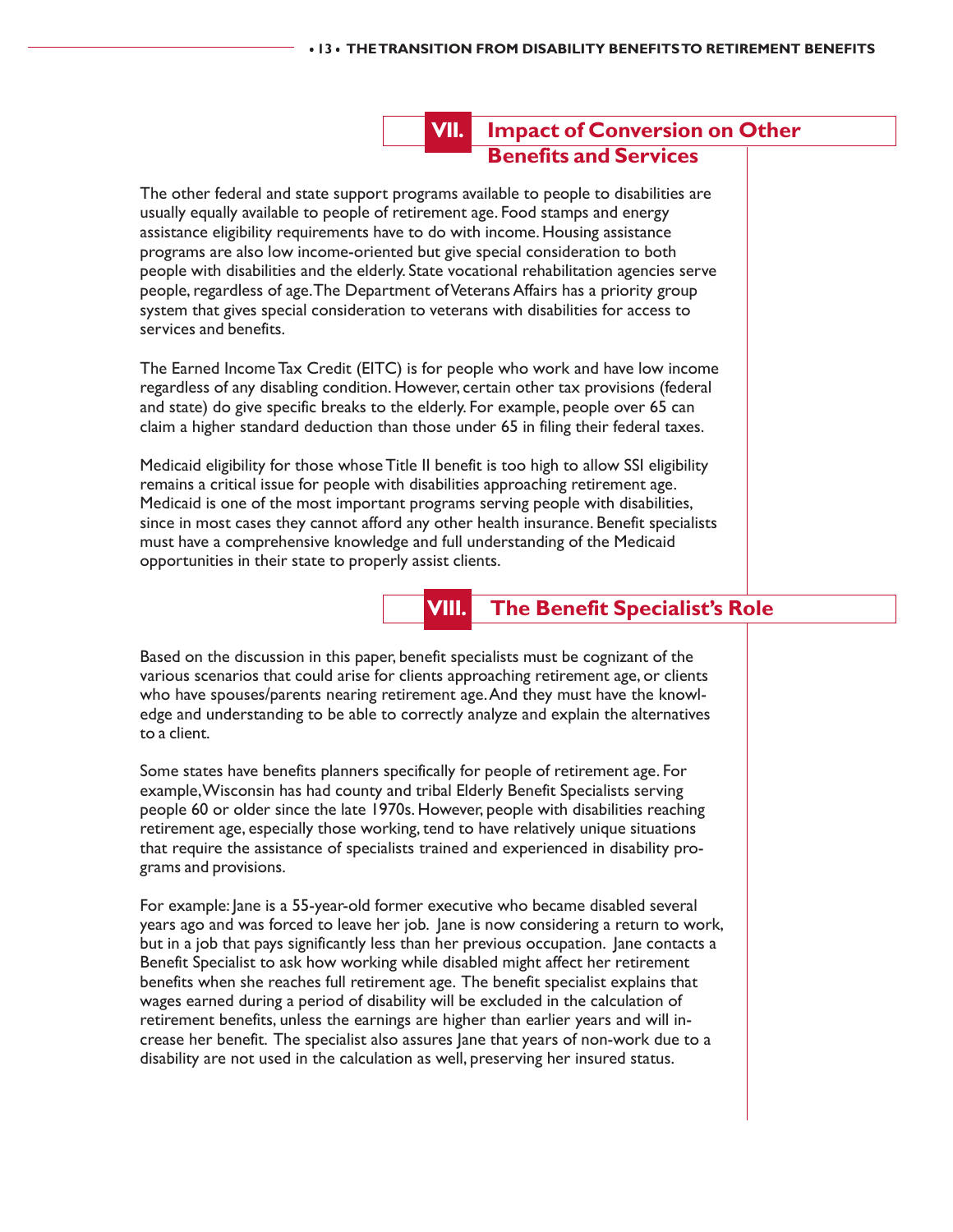# **VII. Impact of Conversion on Other Benefits and Services**

The other federal and state support programs available to people to disabilities are usually equally available to people of retirement age. Food stamps and energy assistance eligibility requirements have to do with income. Housing assistance programs are also low income-oriented but give special consideration to both people with disabilities and the elderly. State vocational rehabilitation agencies serve people, regardless of age. The Department of Veterans Affairs has a priority group system that gives special consideration to veterans with disabilities for access to services and benefits.

The Earned Income Tax Credit (EITC) is for people who work and have low income regardless of any disabling condition. However, certain other tax provisions (federal and state) do give specific breaks to the elderly. For example, people over 65 can claim a higher standard deduction than those under 65 in filing their federal taxes.

Medicaid eligibility for those whose Title II benefit is too high to allow SSI eligibility remains a critical issue for people with disabilities approaching retirement age. Medicaid is one of the most important programs serving people with disabilities, since in most cases they cannot afford any other health insurance. Benefit specialists must have a comprehensive knowledge and full understanding of the Medicaid opportunities in their state to properly assist clients.

# **VIII. The Benefit Specialist's Role**

Based on the discussion in this paper, benefit specialists must be cognizant of the various scenarios that could arise for clients approaching retirement age, or clients who have spouses/parents nearing retirement age. And they must have the knowledge and understanding to be able to correctly analyze and explain the alternatives to a client.

Some states have benefits planners specifically for people of retirement age. For example, Wisconsin has had county and tribal Elderly Benefit Specialists serving people 60 or older since the late 1970s. However, people with disabilities reaching retirement age, especially those working, tend to have relatively unique situations that require the assistance of specialists trained and experienced in disability programs and provisions.

For example: Jane is a 55-year-old former executive who became disabled several years ago and was forced to leave her job. Jane is now considering a return to work, but in a job that pays significantly less than her previous occupation. Jane contacts a Benefit Specialist to ask how working while disabled might affect her retirement benefits when she reaches full retirement age. The benefit specialist explains that wages earned during a period of disability will be excluded in the calculation of retirement benefits, unless the earnings are higher than earlier years and will increase her benefit. The specialist also assures Jane that years of non-work due to a disability are not used in the calculation as well, preserving her insured status.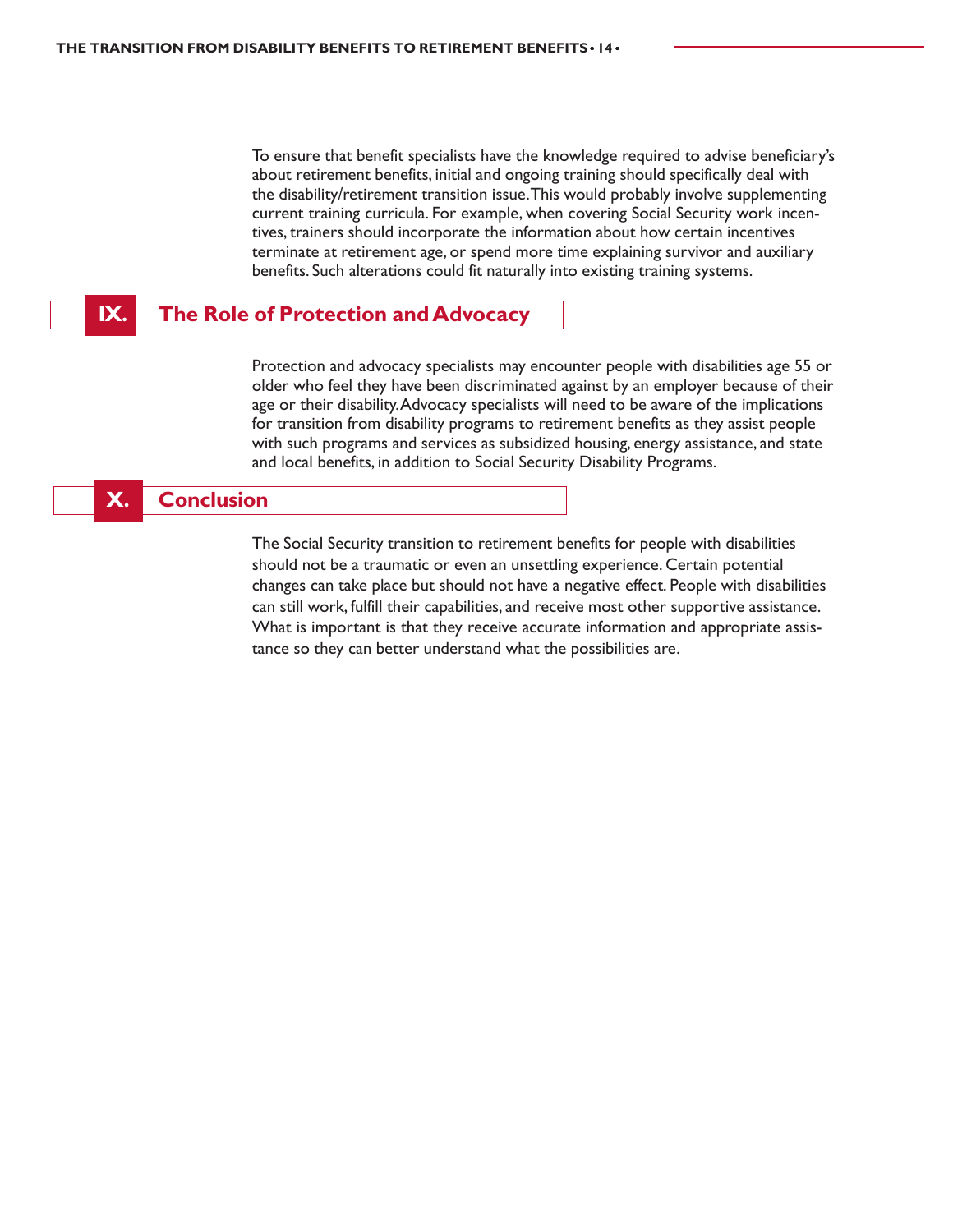To ensure that benefit specialists have the knowledge required to advise beneficiary's about retirement benefits, initial and ongoing training should specifically deal with the disability/retirement transition issue. This would probably involve supplementing current training curricula. For example, when covering Social Security work incentives, trainers should incorporate the information about how certain incentives terminate at retirement age, or spend more time explaining survivor and auxiliary benefits. Such alterations could fit naturally into existing training systems.

# **IX.** The Role of Protection and Advocacy

Protection and advocacy specialists may encounter people with disabilities age 55 or older who feel they have been discriminated against by an employer because of their age or their disability. Advocacy specialists will need to be aware of the implications for transition from disability programs to retirement benefits as they assist people with such programs and services as subsidized housing, energy assistance, and state and local benefits, in addition to Social Security Disability Programs.

### **X. Conclusion**

The Social Security transition to retirement benefits for people with disabilities should not be a traumatic or even an unsettling experience. Certain potential changes can take place but should not have a negative effect. People with disabilities can still work, fulfill their capabilities, and receive most other supportive assistance. What is important is that they receive accurate information and appropriate assistance so they can better understand what the possibilities are.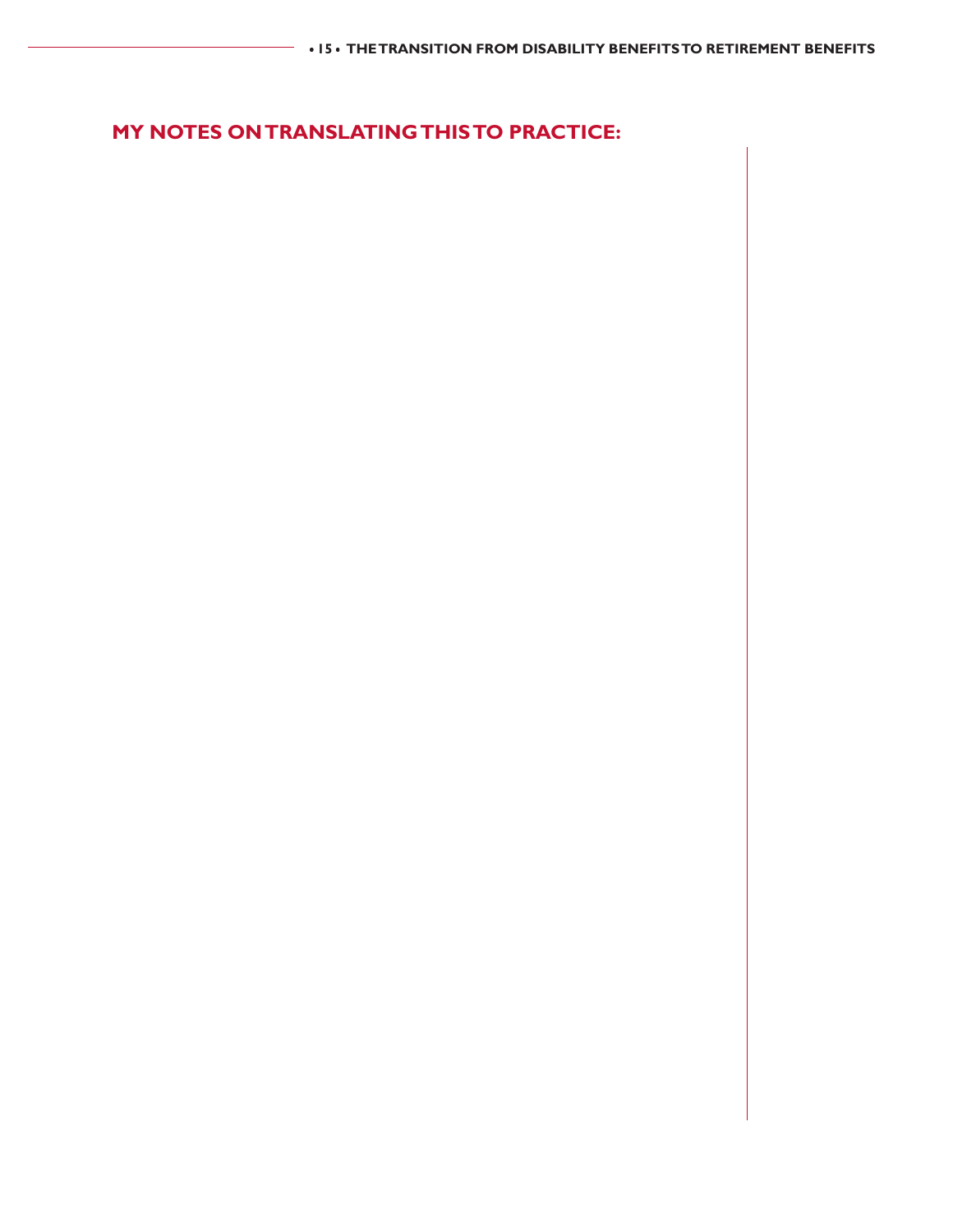# **MY NOTES ON TRANSLATING THIS TO PRACTICE:**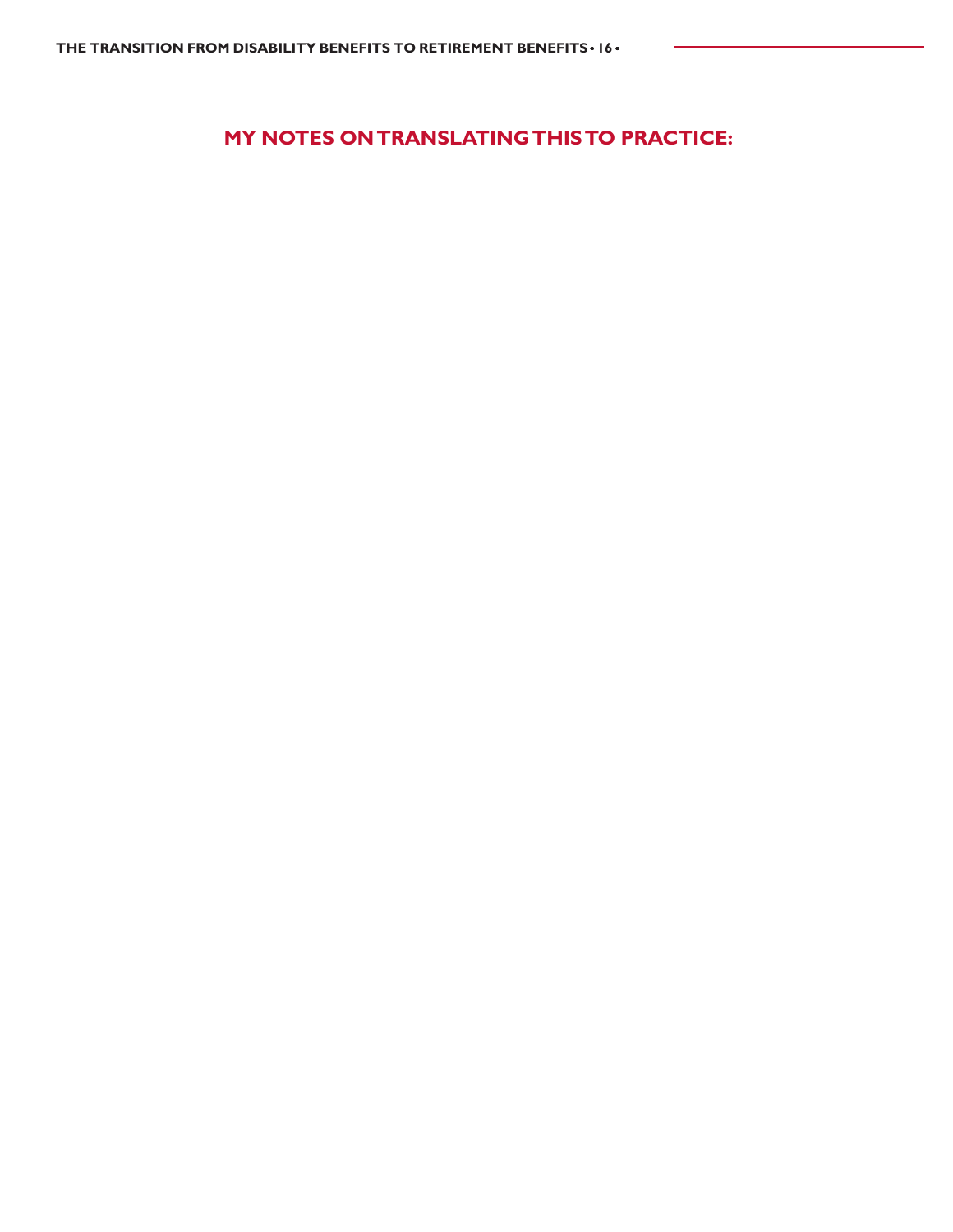**MY NOTES ON TRANSLATING THIS TO PRACTICE:**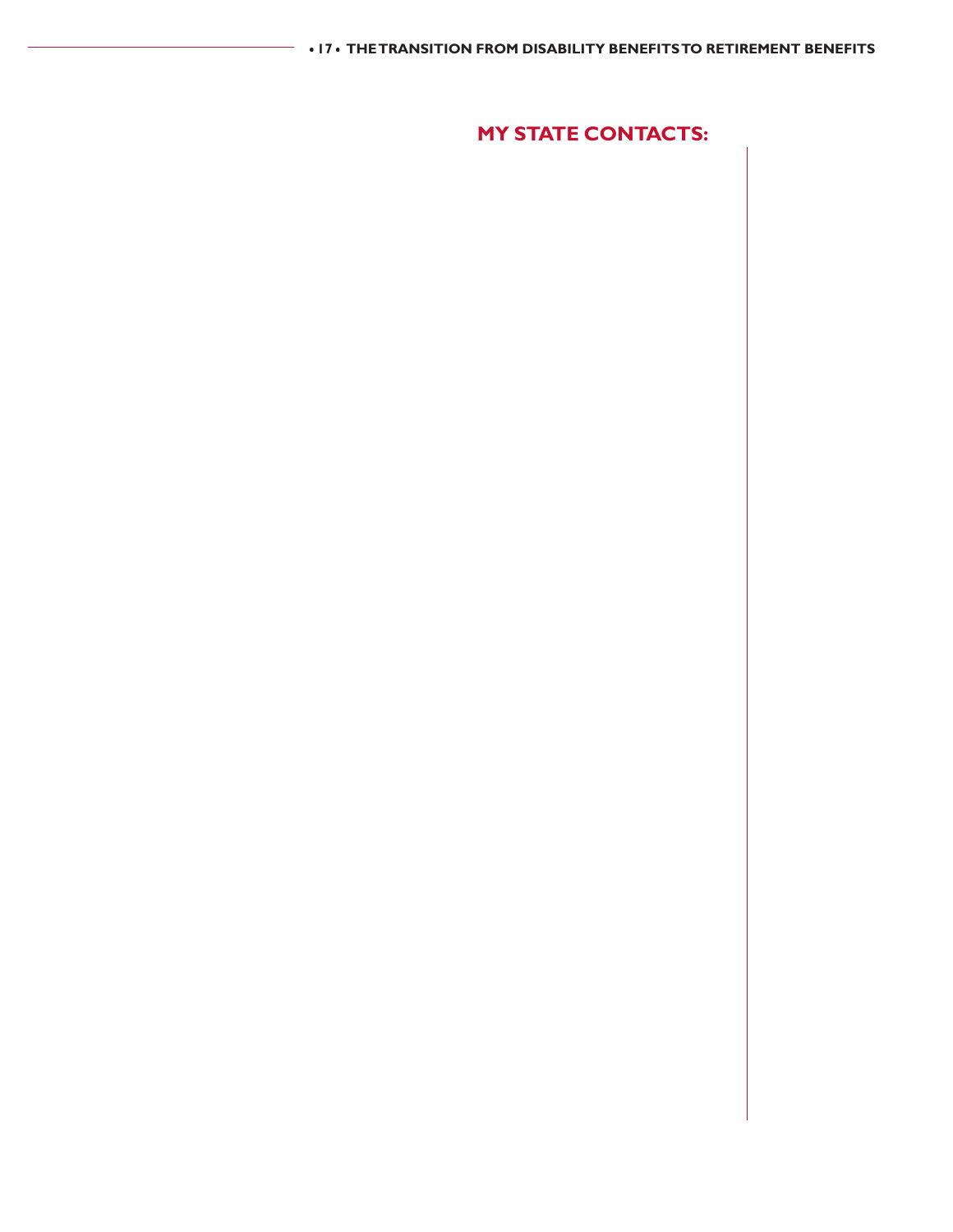# **MY STATE CONTACTS:**